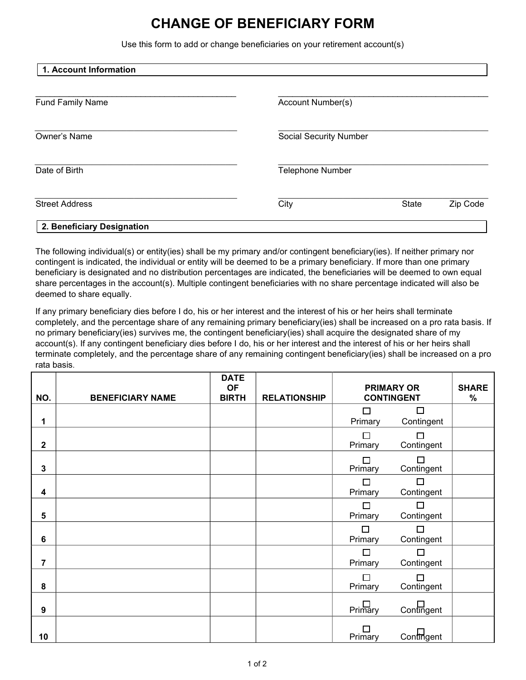## **CHANGE OF BENEFICIARY FORM**

Use this form to add or change beneficiaries on your retirement account(s)

| 1. Account Information     |                         |                               |          |  |  |  |  |
|----------------------------|-------------------------|-------------------------------|----------|--|--|--|--|
| <b>Fund Family Name</b>    | Account Number(s)       |                               |          |  |  |  |  |
| <b>Owner's Name</b>        |                         | <b>Social Security Number</b> |          |  |  |  |  |
| Date of Birth              | <b>Telephone Number</b> |                               |          |  |  |  |  |
| <b>Street Address</b>      | City                    | <b>State</b>                  | Zip Code |  |  |  |  |
| 2. Beneficiary Designation |                         |                               |          |  |  |  |  |

The following individual(s) or entity(ies) shall be my primary and/or contingent beneficiary(ies). If neither primary nor contingent is indicated, the individual or entity will be deemed to be a primary beneficiary. If more than one primary beneficiary is designated and no distribution percentages are indicated, the beneficiaries will be deemed to own equal share percentages in the account(s). Multiple contingent beneficiaries with no share percentage indicated will also be deemed to share equally.

If any primary beneficiary dies before I do, his or her interest and the interest of his or her heirs shall terminate completely, and the percentage share of any remaining primary beneficiary(ies) shall be increased on a pro rata basis. If no primary beneficiary(ies) survives me, the contingent beneficiary(ies) shall acquire the designated share of my account(s). If any contingent beneficiary dies before I do, his or her interest and the interest of his or her heirs shall terminate completely, and the percentage share of any remaining contingent beneficiary(ies) shall be increased on a pro rata basis.

| NO.              | <b>BENEFICIARY NAME</b> | <b>DATE</b><br><b>OF</b><br><b>BIRTH</b> | <b>RELATIONSHIP</b> | <b>PRIMARY OR</b><br><b>CONTINGENT</b> |                   | <b>SHARE</b><br>$\%$ |
|------------------|-------------------------|------------------------------------------|---------------------|----------------------------------------|-------------------|----------------------|
|                  |                         |                                          |                     | $\Box$                                 | $\Box$            |                      |
| 1                |                         |                                          |                     | Primary                                | Contingent        |                      |
| $\boldsymbol{2}$ |                         |                                          |                     | $\Box$<br>Primary                      | П<br>Contingent   |                      |
| 3                |                         |                                          |                     | □<br>Primary                           | П<br>Contingent   |                      |
| 4                |                         |                                          |                     | $\Box$<br>Primary                      | П<br>Contingent   |                      |
| 5                |                         |                                          |                     | $\Box$<br>Primary                      | П<br>Contingent   |                      |
| $6\phantom{1}$   |                         |                                          |                     | $\Box$<br>Primary                      | П<br>Contingent   |                      |
| $\overline{7}$   |                         |                                          |                     | □<br>Primary                           | □<br>Contingent   |                      |
| 8                |                         |                                          |                     | П<br>Primary                           | П<br>Contingent   |                      |
| $\boldsymbol{9}$ |                         |                                          |                     | $\Box$ Primary                         | $\Box$ Contingent |                      |
| 10               |                         |                                          |                     | П<br>Primary                           | $\Box$ Contingent |                      |